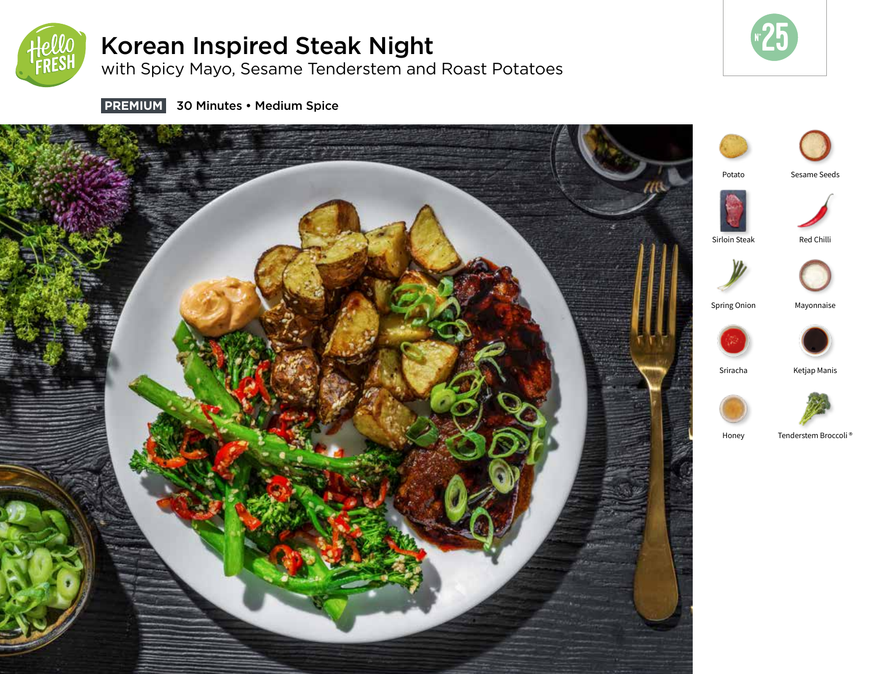

# Korean Inspired Steak Night

with Spicy Mayo, Sesame Tenderstem and Roast Potatoes



 **PREMIUM** 30 Minutes • Medium Spice